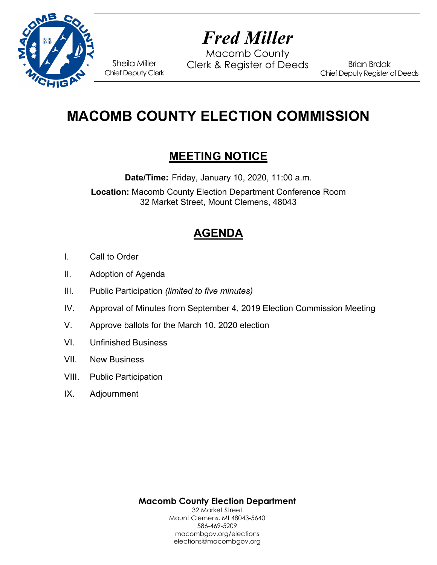

# *Fred Miller*

Macomb County Sheila Miller Clerk & Register of Deeds

Brian Brdak Chief Deputy Register of Deeds

# **MACOMB COUNTY ELECTION COMMISSION**

# **MEETING NOTICE**

**Date/Time:** Friday, January 10, 2020, 11:00 a.m.

**Location:** Macomb County Election Department Conference Room 32 Market Street, Mount Clemens, 48043

# **AGENDA**

- I. Call to Order
- II. Adoption of Agenda

Chief Deputy Clerk

- III. Public Participation *(limited to five minutes)*
- IV. Approval of Minutes from September 4, 2019 Election Commission Meeting
- V. Approve ballots for the March 10, 2020 election
- VI. Unfinished Business
- VII. New Business
- VIII. Public Participation
- IX. Adjournment

**Macomb County Election Department**  32 Market Street

Mount Clemens, MI 48043-5640 586-469-5209 macombgov.org/elections elections@macombgov.org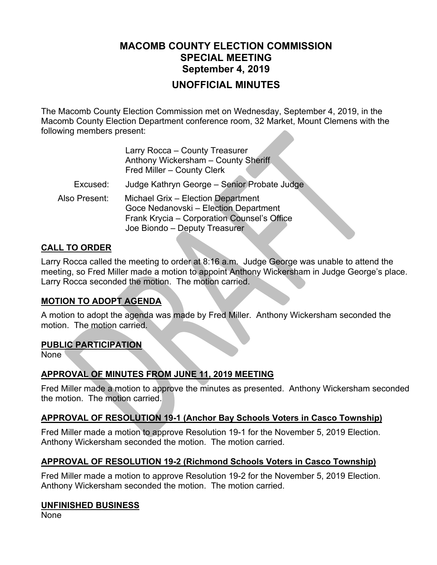# **MACOMB COUNTY ELECTION COMMISSION SPECIAL MEETING September 4, 2019 UNOFFICIAL MINUTES**

The Macomb County Election Commission met on Wednesday, September 4, 2019, in the Macomb County Election Department conference room, 32 Market, Mount Clemens with the following members present:

|               | Larry Rocca - County Treasurer<br>Anthony Wickersham - County Sheriff<br>Fred Miller - County Clerk                                                         |
|---------------|-------------------------------------------------------------------------------------------------------------------------------------------------------------|
| Excused:      | Judge Kathryn George - Senior Probate Judge                                                                                                                 |
| Also Present: | Michael Grix - Election Department<br>Goce Nedanovski - Election Department<br>Frank Krycia - Corporation Counsel's Office<br>Joe Biondo - Deputy Treasurer |

## **CALL TO ORDER**

Larry Rocca called the meeting to order at 8:16 a.m. Judge George was unable to attend the meeting, so Fred Miller made a motion to appoint Anthony Wickersham in Judge George's place. Larry Rocca seconded the motion. The motion carried.

# **MOTION TO ADOPT AGENDA**

A motion to adopt the agenda was made by Fred Miller. Anthony Wickersham seconded the motion. The motion carried.

#### **PUBLIC PARTICIPATION**

None

# **APPROVAL OF MINUTES FROM JUNE 11, 2019 MEETING**

Fred Miller made a motion to approve the minutes as presented. Anthony Wickersham seconded the motion. The motion carried.

#### **APPROVAL OF RESOLUTION 19-1 (Anchor Bay Schools Voters in Casco Township)**

Fred Miller made a motion to approve Resolution 19-1 for the November 5, 2019 Election. Anthony Wickersham seconded the motion. The motion carried.

# **APPROVAL OF RESOLUTION 19-2 (Richmond Schools Voters in Casco Township)**

Fred Miller made a motion to approve Resolution 19-2 for the November 5, 2019 Election. Anthony Wickersham seconded the motion. The motion carried.

#### **UNFINISHED BUSINESS**

None